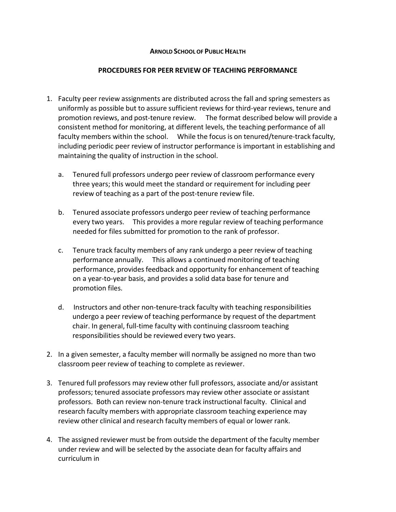## **ARNOLD SCHOOL OF PUBLIC HEALTH**

## **PROCEDURES FOR PEER REVIEW OF TEACHING PERFORMANCE**

- 1. Faculty peer review assignments are distributed across the fall and spring semesters as uniformly as possible but to assure sufficient reviews for third‐year reviews, tenure and promotion reviews, and post‐tenure review. The format described below will provide a consistent method for monitoring, at different levels, the teaching performance of all faculty members within the school. While the focus is on tenured/tenure-track faculty, including periodic peer review of instructor performance is important in establishing and maintaining the quality of instruction in the school.
	- a. Tenured full professors undergo peer review of classroom performance every three years; this would meet the standard or requirement for including peer review of teaching as a part of the post-tenure review file.
	- b. Tenured associate professors undergo peer review of teaching performance every two years. This provides a more regular review of teaching performance needed for files submitted for promotion to the rank of professor.
	- c. Tenure track faculty members of any rank undergo a peer review of teaching performance annually. This allows a continued monitoring of teaching performance, provides feedback and opportunity for enhancement of teaching on a year‐to‐year basis, and provides a solid data base for tenure and promotion files.
	- d. Instructors and other non‐tenure‐track faculty with teaching responsibilities undergo a peer review of teaching performance by request of the department chair. In general, full‐time faculty with continuing classroom teaching responsibilities should be reviewed every two years.
- 2. In a given semester, a faculty member will normally be assigned no more than two classroom peer review of teaching to complete as reviewer.
- 3. Tenured full professors may review other full professors, associate and/or assistant professors; tenured associate professors may review other associate or assistant professors. Both can review non-tenure track instructional faculty. Clinical and research faculty members with appropriate classroom teaching experience may review other clinical and research faculty members of equal or lower rank.
- 4. The assigned reviewer must be from outside the department of the faculty member under review and will be selected by the associate dean for faculty affairs and curriculum in